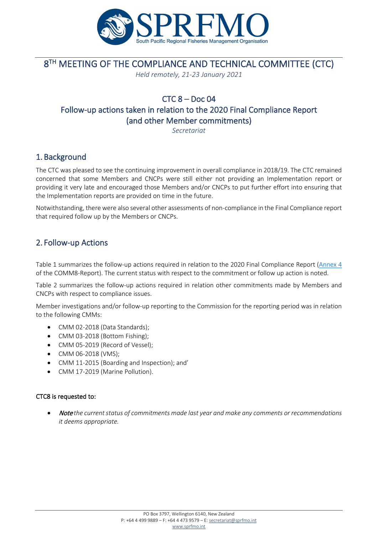

# **8TH MEETING OF THE COMPLIANCE AND TECHNICAL COMMITTEE (CTC)**

*Held remotely, 21-23 January 2021*

# $CTC_8 - Doc_04$ Follow-up actions taken in relation to the 2020 Final Compliance Report (and other Member commitments)

*Secretariat*

## 1. Background

The CTC was pleased to see the continuing improvement in overall compliance in 2018/19. The CTC remained concerned that some Members and CNCPs were still either not providing an Implementation report or providing it very late and encouraged those Members and/or CNCPs to put further effort into ensuring that the Implementation reports are provided on time in the future.

Notwithstanding, there were also several other assessments of non-compliance in the Final Compliance report that required follow up by the Members or CNCPs.

## 2. Follow-up Actions

Table 1 summarizes the follow-up actions required in relation to the 2020 Final Compliance Report [\(Annex 4](https://www.sprfmo.int/assets/2019-Annual-Meeting/COMM-7/Report/ANNEX-4-COMM7-2019-Final-Compliance-Report.pdf) of the COMM8-Report). The current status with respect to the commitment or follow up action is noted.

Table 2 summarizes the follow-up actions required in relation other commitments made by Members and CNCPs with respect to compliance issues.

Member investigations and/or follow-up reporting to the Commission for the reporting period was in relation to the following CMMs:

- CMM 02-2018 (Data Standards);
- CMM 03-2018 (Bottom Fishing);
- CMM 05-2019 (Record of Vessel);
- CMM 06-2018 (VMS);
- CMM 11-2015 (Boarding and Inspection); and'
- CMM 17-2019 (Marine Pollution).

#### CTC8 is requested to:

• Note *the current status of commitments made last year and make any comments or recommendations it deems appropriate.*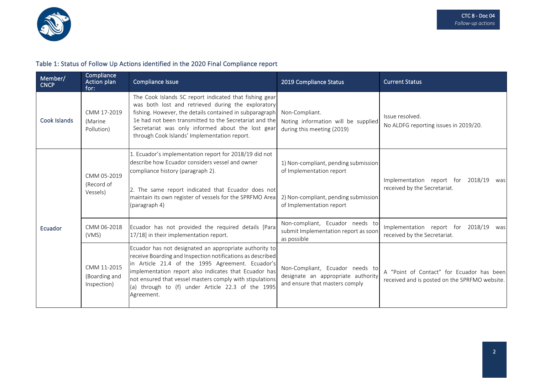

### Table 1: Status of Follow Up Actions identified in the 2020 Final Compliance report

| Member/<br><b>CNCP</b> | Compliance<br>Action plan<br>for:           | Compliance Issue                                                                                                                                                                                                                                                                                                                                                 | 2019 Compliance Status                                                                                                               | <b>Current Status</b>                                                                      |
|------------------------|---------------------------------------------|------------------------------------------------------------------------------------------------------------------------------------------------------------------------------------------------------------------------------------------------------------------------------------------------------------------------------------------------------------------|--------------------------------------------------------------------------------------------------------------------------------------|--------------------------------------------------------------------------------------------|
| Cook Islands           | CMM 17-2019<br>(Marine<br>Pollution)        | The Cook Islands SC report indicated that fishing gear<br>was both lost and retrieved during the exploratory<br>fishing. However, the details contained in subparagraph<br>1e had not been transmitted to the Secretariat and the<br>Secretariat was only informed about the lost gear<br>through Cook Islands' Implementation report.                           | Non-Compliant.<br>Noting information will be supplied<br>during this meeting (2019)                                                  | Issue resolved.<br>No ALDFG reporting issues in 2019/20.                                   |
| Ecuador                | CMM 05-2019<br>(Record of<br>Vessels)       | 1. Ecuador's implementation report for 2018/19 did not<br>describe how Ecuador considers vessel and owner<br>compliance history (paragraph 2).<br>2. The same report indicated that Ecuador does not<br>maintain its own register of vessels for the SPRFMO Area<br>(paragraph 4)                                                                                | 1) Non-compliant, pending submission<br>of Implementation report<br>2) Non-compliant, pending submission<br>of Implementation report | Implementation report for 2018/19<br>was<br>received by the Secretariat.                   |
|                        | CMM 06-2018<br>(VMS)                        | Ecuador has not provided the required details [Para<br>17/18] in their implementation report.                                                                                                                                                                                                                                                                    | Non-compliant, Ecuador needs to<br>submit Implementation report as soon<br>as possible                                               | Implementation report for 2018/19<br>was<br>received by the Secretariat.                   |
|                        | CMM 11-2015<br>(Boarding and<br>Inspection) | Ecuador has not designated an appropriate authority to<br>receive Boarding and Inspection notifications as described<br>in Article 21.4 of the 1995 Agreement. Ecuador's<br>implementation report also indicates that Ecuador has<br>not ensured that vessel masters comply with stipulations<br>(a) through to (f) under Article 22.3 of the 1995<br>Agreement. | Non-Compliant, Ecuador needs to<br>designate an appropriate authority<br>and ensure that masters comply                              | A "Point of Contact" for Ecuador has been<br>received and is posted on the SPRFMO website. |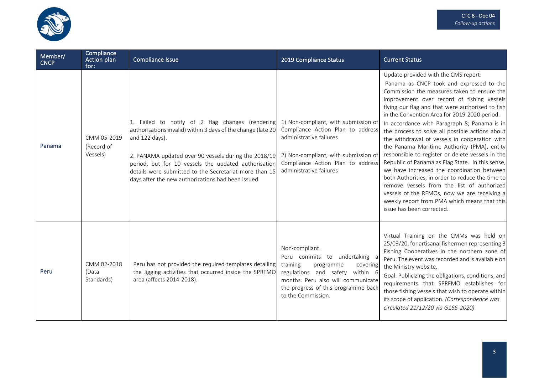

| Member/<br><b>CNCP</b> | Compliance<br>Action plan<br>for:     | Compliance Issue                                                                                                                                                                                                                                                                                                                                                   | 2019 Compliance Status                                                                                                                                                                                                     | <b>Current Status</b>                                                                                                                                                                                                                                                                                                                                                                                                                                                                                                                                                                                                                                                                                                                                                                                                                                                     |
|------------------------|---------------------------------------|--------------------------------------------------------------------------------------------------------------------------------------------------------------------------------------------------------------------------------------------------------------------------------------------------------------------------------------------------------------------|----------------------------------------------------------------------------------------------------------------------------------------------------------------------------------------------------------------------------|---------------------------------------------------------------------------------------------------------------------------------------------------------------------------------------------------------------------------------------------------------------------------------------------------------------------------------------------------------------------------------------------------------------------------------------------------------------------------------------------------------------------------------------------------------------------------------------------------------------------------------------------------------------------------------------------------------------------------------------------------------------------------------------------------------------------------------------------------------------------------|
| Panama                 | CMM 05-2019<br>(Record of<br>Vessels) | 1. Failed to notify of 2 flag changes (rendering<br>authorisations invalid) within 3 days of the change (late 20<br>and 122 days).<br>2. PANAMA updated over 90 vessels during the 2018/19<br>period, but for 10 vessels the updated authorisation<br>details were submitted to the Secretariat more than 15<br>days after the new authorizations had been issued. | 1) Non-compliant, with submission of<br>Compliance Action Plan to address<br>administrative failures<br>2) Non-compliant, with submission of<br>Compliance Action Plan to address<br>administrative failures               | Update provided with the CMS report:<br>Panama as CNCP took and expressed to the<br>Commission the measures taken to ensure the<br>improvement over record of fishing vessels<br>flying our flag and that were authorised to fish<br>in the Convention Area for 2019-2020 period.<br>In accordance with Paragraph 8; Panama is in<br>the process to solve all possible actions about<br>the withdrawal of vessels in cooperation with<br>the Panama Maritime Authority (PMA), entity<br>responsible to register or delete vessels in the<br>Republic of Panama as Flag State. In this sense,<br>we have increased the coordination between<br>both Authorities, in order to reduce the time to<br>remove vessels from the list of authorized<br>vessels of the RFMOs, now we are receiving a<br>weekly report from PMA which means that this<br>issue has been corrected. |
| Peru                   | CMM 02-2018<br>(Data<br>Standards)    | Peru has not provided the required templates detailing<br>the Jigging activities that occurred inside the SPRFMO<br>area (affects 2014-2018).                                                                                                                                                                                                                      | Non-compliant.<br>Peru commits to undertaking a<br>training<br>programme<br>covering<br>regulations and safety within 6<br>months. Peru also will communicate<br>the progress of this programme back<br>to the Commission. | Virtual Training on the CMMs was held on<br>25/09/20, for artisanal fishermen representing 3<br>Fishing Cooperatives in the northern zone of<br>Peru. The event was recorded and is available on<br>the Ministry website.<br>Goal: Publicizing the obligations, conditions, and<br>requirements that SPRFMO establishes for<br>those fishing vessels that wish to operate within<br>its scope of application. (Correspondence was<br>circulated 21/12/20 via G165-2020)                                                                                                                                                                                                                                                                                                                                                                                                   |